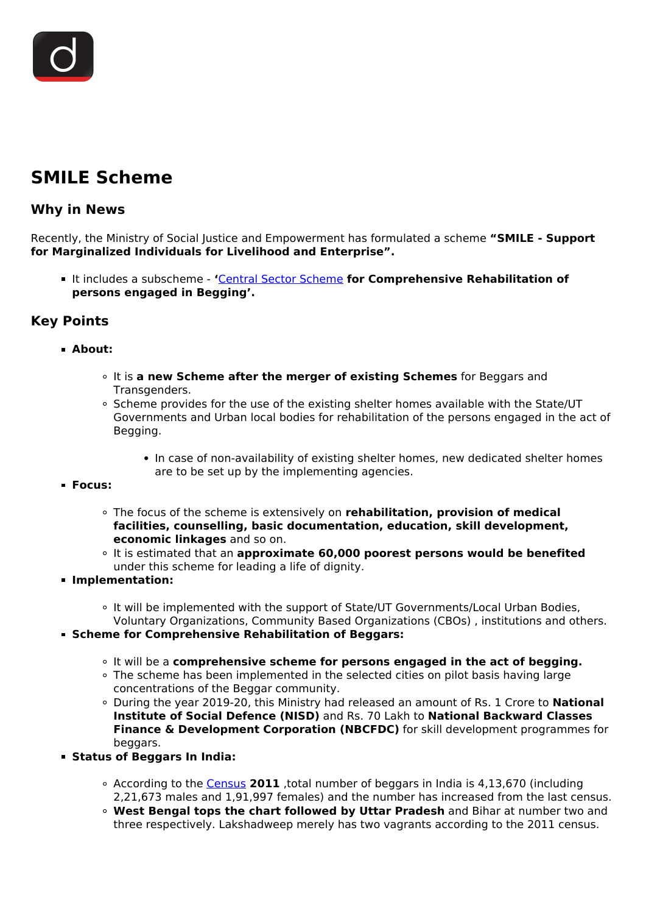# **SMILE Scheme**

## **Why in News**

Recently, the Ministry of Social Justice and Empowerment has formulated a scheme **"SMILE - Support for Marginalized Individuals for Livelihood and Enterprise".**

It includes a subscheme - **'**[Central Sector Scheme](/daily-updates/daily-news-analysis/national-ayush-mission-1) **for Comprehensive Rehabilitation of persons engaged in Begging'.**

# **Key Points**

### **About:**

- It is **a new Scheme after the merger of existing Schemes** for Beggars and Transgenders.
- Scheme provides for the use of the existing shelter homes available with the State/UT Governments and Urban local bodies for rehabilitation of the persons engaged in the act of Begging.
	- In case of non-availability of existing shelter homes, new dedicated shelter homes are to be set up by the implementing agencies.
- **Focus:**
	- The focus of the scheme is extensively on **rehabilitation, provision of medical facilities, counselling, basic documentation, education, skill development, economic linkages** and so on.
	- It is estimated that an **approximate 60,000 poorest persons would be benefited** under this scheme for leading a life of dignity.
- **Implementation:**
	- o It will be implemented with the support of State/UT Governments/Local Urban Bodies, Voluntary Organizations, Community Based Organizations (CBOs) , institutions and others.
- **Scheme for Comprehensive Rehabilitation of Beggars:**
	- It will be a **comprehensive scheme for persons engaged in the act of begging.**
	- The scheme has been implemented in the selected cities on pilot basis having large concentrations of the Beggar community.
	- During the year 2019-20, this Ministry had released an amount of Rs. 1 Crore to **National Institute of Social Defence (NISD)** and Rs. 70 Lakh to **National Backward Classes Finance & Development Corporation (NBCFDC)** for skill development programmes for beggars.
- **Status of Beggars In India:**
	- According to the [Census](/daily-updates/daily-news-editorials/census-2021-2) **2011** ,total number of beggars in India is 4,13,670 (including 2,21,673 males and 1,91,997 females) and the number has increased from the last census.
	- **West Bengal tops the chart followed by Uttar Pradesh** and Bihar at number two and three respectively. Lakshadweep merely has two vagrants according to the 2011 census.